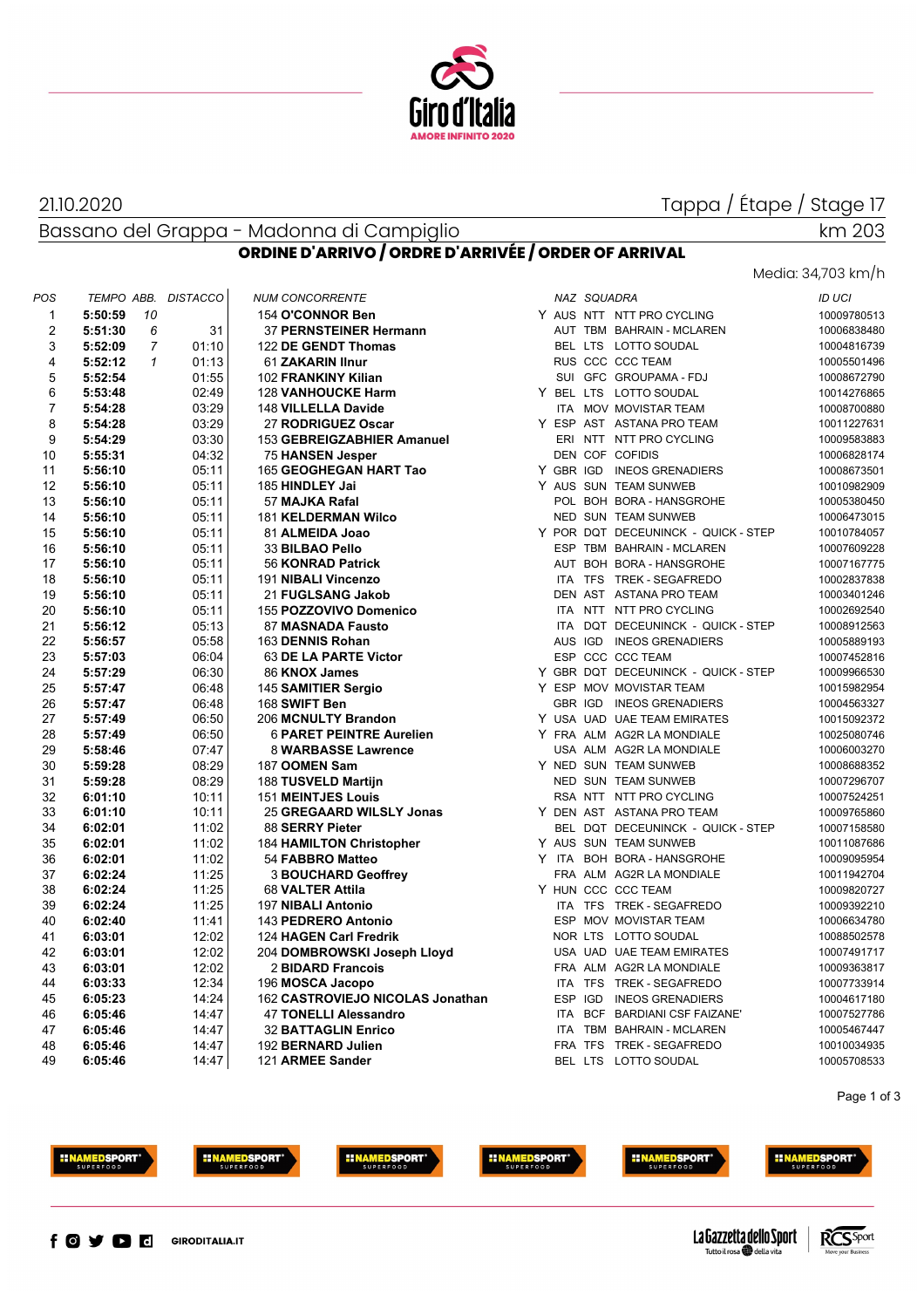

#### 21.10.2020

## Tappa / Étape / Stage 17

### Bassano del Grappa - Madonna di Campiglio

# 4,703 km/h

km 203

|                |                           |                     | <b>ORDINE D'ARRIVO / ORDRE D'ARRIVÉE / ORDER OF ARRIVAL</b> |                                                               |
|----------------|---------------------------|---------------------|-------------------------------------------------------------|---------------------------------------------------------------|
|                |                           |                     |                                                             | Media: 34,703 km/h                                            |
| POS            |                           | TEMPO ABB. DISTACCO | <b>NUM CONCORRENTE</b>                                      | <b>NAZ SQUADRA</b><br><b>ID UCI</b>                           |
| 1              | 5:50:59<br>10             |                     | 154 O'CONNOR Ben                                            | Y AUS NTT NTT PRO CYCLING<br>10009780513                      |
| 2              | 6<br>5:51:30              | 31                  | 37 PERNSTEINER Hermann                                      | AUT TBM BAHRAIN - MCLAREN<br>10006838480                      |
| 3              | 5:52:09<br>$\overline{7}$ | 01:10               | 122 DE GENDT Thomas                                         | BEL LTS LOTTO SOUDAL<br>10004816739                           |
| 4              | 5:52:12<br>$\mathcal I$   | 01:13               | 61 ZAKARIN Ilnur                                            | RUS CCC CCC TEAM<br>10005501496                               |
| 5              | 5:52:54                   | 01:55               | 102 FRANKINY Kilian                                         | SUI GFC GROUPAMA - FDJ<br>10008672790                         |
| 6              | 5:53:48                   | 02:49               | <b>128 VANHOUCKE Harm</b>                                   | Y BEL LTS LOTTO SOUDAL<br>10014276865                         |
| $\overline{7}$ | 5:54:28                   | 03:29               | 148 VILLELLA Davide                                         | ITA MOV MOVISTAR TEAM<br>10008700880                          |
| 8              | 5:54:28                   | 03:29               | 27 RODRIGUEZ Oscar                                          | Y ESP AST ASTANA PRO TEAM<br>10011227631                      |
| 9              | 5:54:29                   | 03:30               | 153 GEBREIGZABHIER Amanuel                                  | ERI NTT NTT PRO CYCLING<br>10009583883                        |
| 10             | 5:55:31                   | 04:32               | 75 HANSEN Jesper                                            | DEN COF COFIDIS<br>10006828174                                |
| 11             | 5:56:10                   | 05:11               | 165 GEOGHEGAN HART Tao                                      | Y GBR IGD INEOS GRENADIERS<br>10008673501                     |
| 12             | 5:56:10                   | 05:11               | 185 HINDLEY Jai                                             | Y AUS SUN TEAM SUNWEB<br>10010982909                          |
| 13             | 5:56:10                   | 05:11               | 57 MAJKA Rafal                                              | POL BOH BORA - HANSGROHE<br>10005380450                       |
| 14             | 5:56:10                   | 05:11               | <b>181 KELDERMAN Wilco</b>                                  | NED SUN TEAM SUNWEB<br>10006473015                            |
| 15             | 5:56:10                   | 05:11               | 81 ALMEIDA Joao                                             | Y POR DQT DECEUNINCK - QUICK - STEP<br>10010784057            |
| 16             | 5:56:10                   | 05:11               | 33 BILBAO Pello                                             | ESP TBM BAHRAIN - MCLAREN<br>10007609228                      |
| 17             | 5:56:10                   | 05:11               | 56 KONRAD Patrick                                           | AUT BOH BORA - HANSGROHE<br>10007167775                       |
| 18             | 5:56:10                   | 05:11               | 191 NIBALI Vincenzo                                         | ITA TFS TREK - SEGAFREDO<br>10002837838                       |
| 19             | 5:56:10                   | 05:11               | 21 FUGLSANG Jakob                                           | DEN AST ASTANA PRO TEAM<br>10003401246                        |
| 20             | 5:56:10                   | 05:11               | 155 POZZOVIVO Domenico                                      | ITA NTT NTT PRO CYCLING<br>10002692540                        |
| 21             | 5:56:12                   | 05:13               | 87 MASNADA Fausto                                           | ITA DQT DECEUNINCK - QUICK - STEP<br>10008912563              |
| 22             | 5:56:57                   | 05:58               | 163 DENNIS Rohan                                            | AUS IGD INEOS GRENADIERS<br>10005889193                       |
| 23             | 5:57:03                   | 06:04               | 63 DE LA PARTE Victor                                       | ESP CCC CCC TEAM<br>10007452816                               |
| 24             | 5:57:29                   | 06:30               | 86 KNOX James                                               | Y GBR DQT DECEUNINCK - QUICK - STEP                           |
| 25             | 5:57:47                   | 06:48               | 145 SAMITIER Sergio                                         | 10009966530<br>Y ESP MOV MOVISTAR TEAM<br>10015982954         |
| 26             | 5:57:47                   | 06:48               | 168 SWIFT Ben                                               | GBR IGD INEOS GRENADIERS<br>10004563327                       |
| 27             |                           | 06:50               | 206 MCNULTY Brandon                                         | Y USA UAD UAE TEAM EMIRATES                                   |
| 28             | 5:57:49<br>5:57:49        | 06:50               | <b>6 PARET PEINTRE Aurelien</b>                             | 10015092372<br>Y FRA ALM AG2R LA MONDIALE<br>10025080746      |
| 29             |                           | 07:47               | 8 WARBASSE Lawrence                                         | USA ALM AG2R LA MONDIALE                                      |
| 30             | 5:58:46<br>5:59:28        | 08:29               | 187 OOMEN Sam                                               | 10006003270<br>Y NED SUN TEAM SUNWEB                          |
| 31             | 5:59:28                   | 08:29               | 188 TUSVELD Martijn                                         | 10008688352<br>NED SUN TEAM SUNWEB                            |
| 32             |                           |                     |                                                             | 10007296707                                                   |
| 33             | 6:01:10                   | 10:11               | <b>151 MEINTJES Louis</b>                                   | RSA NTT NTT PRO CYCLING<br>10007524251                        |
|                | 6:01:10                   | 10:11               | 25 GREGAARD WILSLY Jonas                                    | Y DEN AST ASTANA PRO TEAM<br>10009765860                      |
| 34             | 6:02:01                   | 11:02               | 88 SERRY Pieter                                             | BEL DQT DECEUNINCK - QUICK - STEP<br>10007158580              |
| 35             | 6:02:01                   | 11:02               | 184 HAMILTON Christopher                                    | Y AUS SUN TEAM SUNWEB<br>10011087686                          |
| 36             | 6:02:01                   | 11:02               | 54 FABBRO Matteo                                            | Y ITA BOH BORA - HANSGROHE<br>10009095954                     |
| 37             | 6:02:24                   | 11:25               | <b>3 BOUCHARD Geoffrey</b>                                  | FRA ALM AG2R LA MONDIALE<br>10011942704<br>Y HUN CCC CCC TEAM |
| 38             | 6:02:24                   | 11:25               | 68 VALTER Attila                                            | 10009820727                                                   |
| 39             | 6:02:24                   | 11:25               | 197 NIBALI Antonio                                          | ITA TFS TREK - SEGAFREDO<br>10009392210                       |
| 40             | 6:02:40                   | 11:41               | 143 PEDRERO Antonio                                         | ESP MOV MOVISTAR TEAM<br>10006634780                          |
| 41             | 6:03:01                   | 12:02               | 124 HAGEN Carl Fredrik                                      | NOR LTS LOTTO SOUDAL<br>10088502578                           |
| 42             | 6:03:01                   | 12:02               | 204 DOMBROWSKI Joseph Lloyd                                 | USA UAD UAE TEAM EMIRATES<br>10007491717                      |
| 43             | 6:03:01                   | 12:02               | 2 BIDARD Francois                                           | FRA ALM AG2R LA MONDIALE<br>10009363817                       |
| 44             | 6:03:33                   | 12:34               | 196 MOSCA Jacopo                                            | ITA TFS TREK - SEGAFREDO<br>10007733914                       |
| 45             | 6:05:23                   | 14:24               | 162 CASTROVIEJO NICOLAS Jonathan                            | ESP IGD<br><b>INEOS GRENADIERS</b><br>10004617180             |
| 46             | 6:05:46                   | 14:47               | 47 TONELLI Alessandro                                       | ITA BCF BARDIANI CSF FAIZANE'<br>10007527786                  |
| 47             | 6:05:46                   | 14:47               | <b>32 BATTAGLIN Enrico</b>                                  | ITA TBM BAHRAIN - MCLAREN<br>10005467447                      |
| 48             | 6:05:46                   | 14:47               | 192 BERNARD Julien                                          | FRA TFS TREK - SEGAFREDO<br>10010034935                       |
| 49             | 6:05:46                   | 14:47               | 121 ARMEE Sander                                            | BEL LTS LOTTO SOUDAL<br>10005708533                           |







**INAMEDSPORT** 







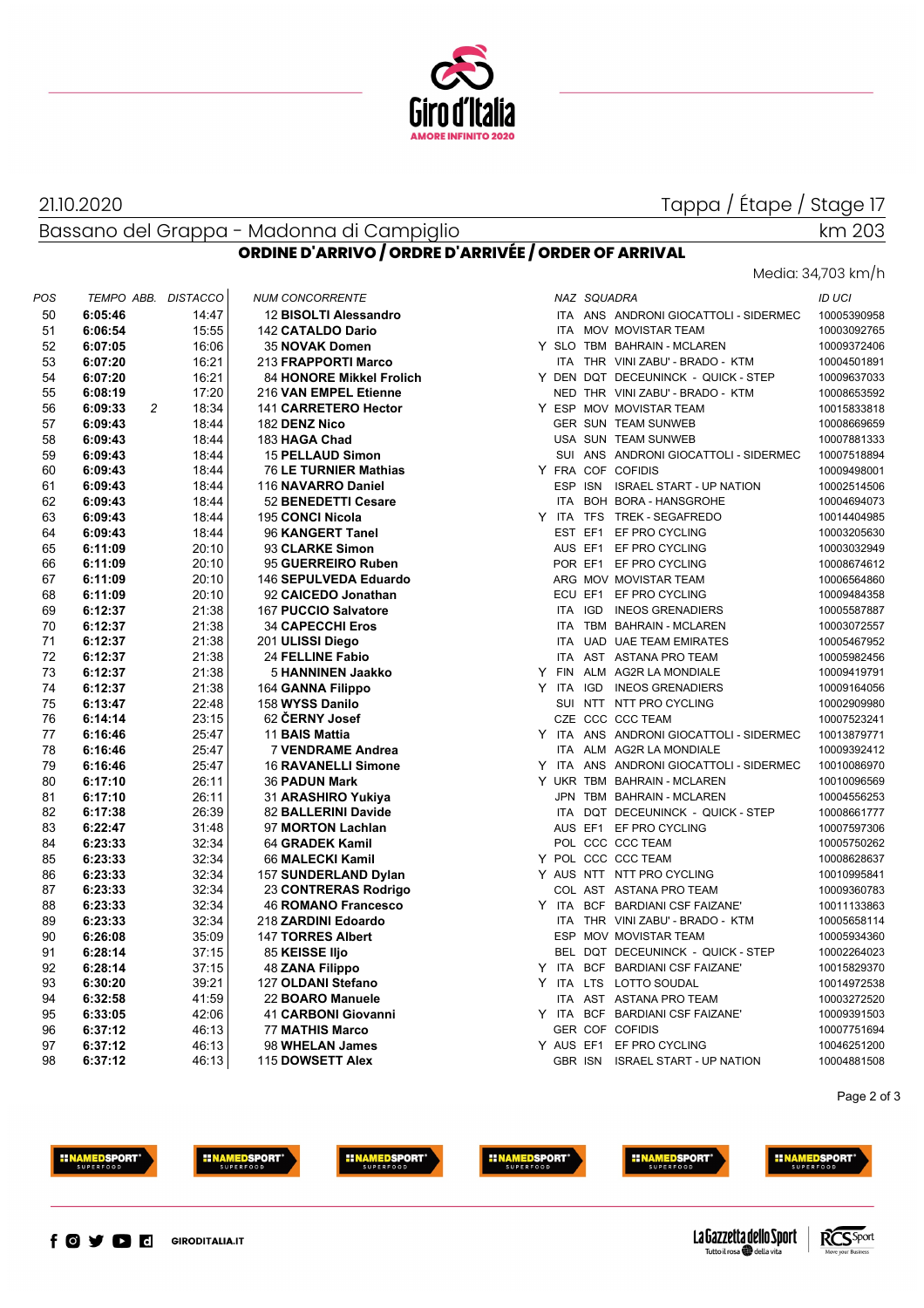

#### 21.10.2020

### Tappa / Étape / Stage 17

Bassano del Grappa - Madonna di Campiglio

## km 203

Media: 34,703 km/h

### **ORDINE D'ARRIVO / ORDRE D'ARRIVÉE / ORDER OF ARRIVAL**

| POS      | TEMPO ABB. DISTACCO       |                | <b>NUM CONCORRENTE</b>       | NAZ SQUADRA                                | ID UCI      |
|----------|---------------------------|----------------|------------------------------|--------------------------------------------|-------------|
| 50       | 6:05:46                   | 14:47          | 12 BISOLTI Alessandro        | ITA ANS ANDRONI GIOCATTOLI - SIDERMEC      | 10005390958 |
| 51       | 6:06:54                   | 15:55          | 142 CATALDO Dario            | ITA MOV MOVISTAR TEAM                      | 10003092765 |
| 52       | 6:07:05                   | 16:06          | 35 NOVAK Domen               | Y SLO TBM BAHRAIN - MCLAREN                | 10009372406 |
| 53       | 6:07:20                   | 16:21          | 213 FRAPPORTI Marco          | ITA THR VINI ZABU' - BRADO - KTM           | 10004501891 |
| 54       | 6:07:20                   | 16:21          | 84 HONORE Mikkel Frolich     | Y DEN DQT DECEUNINCK - QUICK - STEP        | 10009637033 |
| 55       | 6:08:19                   | 17:20          | 216 VAN EMPEL Etienne        | NED THR VINI ZABU' - BRADO - KTM           | 10008653592 |
| 56       | $\overline{c}$<br>6:09:33 | 18:34          | 141 CARRETERO Hector         | Y ESP MOV MOVISTAR TEAM                    | 10015833818 |
| 57       | 6:09:43                   | 18:44          | 182 DENZ Nico                | GER SUN TEAM SUNWEB                        | 10008669659 |
| 58       | 6:09:43                   | 18:44          | 183 HAGA Chad                | USA SUN TEAM SUNWEB                        | 10007881333 |
| 59       | 6:09:43                   | 18:44          | <b>15 PELLAUD Simon</b>      | SUI ANS ANDRONI GIOCATTOLI - SIDERMEC      | 10007518894 |
| 60       | 6:09:43                   | 18:44          | <b>76 LE TURNIER Mathias</b> | Y FRA COF COFIDIS                          | 10009498001 |
| 61       | 6:09:43                   | 18:44          | 116 NAVARRO Daniel           | ESP ISN ISRAEL START - UP NATION           | 10002514506 |
| 62       | 6:09:43                   | 18:44          | 52 BENEDETTI Cesare          | ITA BOH BORA - HANSGROHE                   | 10004694073 |
| 63       | 6:09:43                   | 18:44          | 195 CONCI Nicola             | Y ITA TFS TREK - SEGAFREDO                 | 10014404985 |
| 64       | 6:09:43                   | 18:44          | 96 KANGERT Tanel             | EST EF1 EF PRO CYCLING                     | 10003205630 |
| 65       | 6:11:09                   | 20:10          | 93 CLARKE Simon              | AUS EF1 EF PRO CYCLING                     | 10003032949 |
| 66       | 6:11:09                   | 20:10          | 95 GUERREIRO Ruben           | POR EF1 EF PRO CYCLING                     | 10008674612 |
| 67       | 6:11:09                   | 20:10          | 146 SEPULVEDA Eduardo        | ARG MOV MOVISTAR TEAM                      | 10006564860 |
| 68       | 6:11:09                   | 20:10          | 92 CAICEDO Jonathan          | ECU EF1 EF PRO CYCLING                     | 10009484358 |
| 69       | 6:12:37                   | 21:38          | 167 PUCCIO Salvatore         | ITA IGD INEOS GRENADIERS                   | 10005587887 |
| 70       | 6:12:37                   | 21:38          | <b>34 CAPECCHI Eros</b>      | ITA TBM BAHRAIN - MCLAREN                  | 10003072557 |
| 71       | 6:12:37                   | 21:38          | 201 ULISSI Diego             | ITA UAD UAE TEAM EMIRATES                  | 10005467952 |
| 72       | 6:12:37                   | 21:38          | <b>24 FELLINE Fabio</b>      | ITA AST ASTANA PRO TEAM                    | 10005982456 |
| 73       | 6:12:37                   | 21:38          | 5 HANNINEN Jaakko            | Y FIN ALM AG2R LA MONDIALE                 | 10009419791 |
| 74       | 6:12:37                   | 21:38          | 164 GANNA Filippo            | Y ITA IGD INEOS GRENADIERS                 | 10009164056 |
| 75       | 6:13:47                   | 22:48          | 158 WYSS Danilo              | SUI NTT NTT PRO CYCLING                    | 10002909980 |
| 76       | 6:14:14                   | 23:15          | 62 CERNY Josef               | CZE CCC CCC TEAM                           | 10007523241 |
| 77       | 6:16:46                   | 25:47          | 11 BAIS Mattia               | Y ITA ANS ANDRONI GIOCATTOLI - SIDERMEC    | 10013879771 |
| 78       | 6:16:46                   | 25:47          | <b>7 VENDRAME Andrea</b>     | ITA ALM AG2R LA MONDIALE                   | 10009392412 |
| 79       | 6:16:46                   | 25:47          | <b>16 RAVANELLI Simone</b>   | Y ITA ANS ANDRONI GIOCATTOLI - SIDERMEC    | 10010086970 |
| 80       | 6:17:10                   | 26:11          | 36 PADUN Mark                | Y UKR TBM BAHRAIN - MCLAREN                | 10010096569 |
| 81       |                           | 26:11          |                              | JPN TBM BAHRAIN - MCLAREN                  | 10004556253 |
|          | 6:17:10                   |                | 31 ARASHIRO Yukiya           |                                            |             |
| 82       | 6:17:38                   | 26:39          | 82 BALLERINI Davide          | ITA DQT DECEUNINCK - QUICK - STEP          | 10008661777 |
| 83<br>84 | 6:22:47                   | 31:48<br>32:34 | 97 MORTON Lachlan            | AUS EF1 EF PRO CYCLING<br>POL CCC CCC TEAM | 10007597306 |
| 85       | 6:23:33                   |                | 64 GRADEK Kamil              | Y POL CCC CCC TEAM                         | 10005750262 |
|          | 6:23:33                   | 32:34          | 66 MALECKI Kamil             |                                            | 10008628637 |
| 86       | 6:23:33                   | 32:34          | 157 SUNDERLAND Dylan         | Y AUS NTT NTT PRO CYCLING                  | 10010995841 |
| 87       | 6:23:33                   | 32:34          | 23 CONTRERAS Rodrigo         | COL AST ASTANA PRO TEAM                    | 10009360783 |
| 88       | 6:23:33                   | 32:34          | <b>46 ROMANO Francesco</b>   | Y ITA BCF BARDIANI CSF FAIZANE'            | 10011133863 |
| 89       | 6:23:33                   | 32:34          | 218 ZARDINI Edoardo          | ITA THR VINI ZABU' - BRADO - KTM           | 10005658114 |
| 90       | 6:26:08                   | 35:09          | <b>147 TORRES Albert</b>     | ESP MOV MOVISTAR TEAM                      | 10005934360 |
| 91       | 6:28:14                   | 37:15          | 85 KEISSE IIjo               | BEL DQT DECEUNINCK - QUICK - STEP          | 10002264023 |
| 92       | 6:28:14                   | 37:15          | <b>48 ZANA Filippo</b>       | Y ITA BCF BARDIANI CSF FAIZANE'            | 10015829370 |
| 93       | 6:30:20                   | 39:21          | 127 OLDANI Stefano           | Y ITA LTS LOTTO SOUDAL                     | 10014972538 |
| 94       | 6:32:58                   | 41:59          | 22 BOARO Manuele             | ITA AST ASTANA PRO TEAM                    | 10003272520 |
| 95       | 6:33:05                   | 42:06          | 41 CARBONI Giovanni          | Y ITA<br>BCF BARDIANI CSF FAIZANE'         | 10009391503 |
| 96       | 6:37:12                   | 46:13          | <b>77 MATHIS Marco</b>       | <b>GER COF COFIDIS</b>                     | 10007751694 |
| 97       | 6:37:12                   | 46:13          | 98 WHELAN James              | Y AUS EF1 EF PRO CYCLING                   | 10046251200 |
| 98       | 6:37:12                   | 46:13          | 115 DOWSETT Alex             | GBR ISN ISRAEL START - UP NATION           | 10004881508 |

|   |            | NAZ SQUADRA |                                   | ID UCI      |
|---|------------|-------------|-----------------------------------|-------------|
|   | ITA        |             | ANS ANDRONI GIOCATTOLI - SIDERMEC | 10005390958 |
|   | <b>ITA</b> |             | MOV MOVISTAR TEAM                 | 10003092765 |
| Y | <b>SLO</b> |             | TBM BAHRAIN - MCLAREN             | 10009372406 |
|   | <b>ITA</b> |             | THR VINI ZABU' - BRADO - KTM      | 10004501891 |
|   |            |             | Y DEN DQT DECEUNINCK - QUICK-STEP | 10009637033 |
|   |            |             | NED THR VINI ZABU' - BRADO - KTM  | 10008653592 |
| Y |            |             | ESP MOV MOVISTAR TEAM             | 10015833818 |
|   |            |             | <b>GER SUN TEAM SUNWEB</b>        | 10008669659 |
|   |            |             | USA SUN TEAM SUNWEB               | 10007881333 |
|   | SUI        |             | ANS ANDRONI GIOCATTOLI - SIDERMEC | 10007518894 |
| Y |            |             | FRA COF COFIDIS                   | 10009498001 |
|   |            | ESP ISN     | <b>ISRAEL START - UP NATION</b>   | 10002514506 |
|   | <b>ITA</b> |             | BOH BORA - HANSGROHE              | 10004694073 |
| Y | <b>ITA</b> | <b>TFS</b>  | <b>TREK - SEGAFREDO</b>           | 10014404985 |
|   | EST        | EF1         | EF PRO CYCLING                    | 10003205630 |
|   |            | AUS EF1     | EF PRO CYCLING                    | 10003032949 |
|   |            | POR EF1     | EF PRO CYCLING                    | 10008674612 |
|   |            |             | ARG MOV MOVISTAR TEAM             | 10006564860 |
|   | ECU EF1    |             | EF PRO CYCLING                    | 10009484358 |
|   | <b>ITA</b> | IGD         | <b>INEOS GRENADIERS</b>           | 10005587887 |
|   | <b>ITA</b> |             | TBM BAHRAIN - MCLAREN             | 10003072557 |
|   | <b>ITA</b> |             | <b>UAD UAE TEAM EMIRATES</b>      | 10005467952 |
|   | <b>ITA</b> | <b>AST</b>  | <b>ASTANA PRO TEAM</b>            | 10005982456 |
| Y | <b>FIN</b> | ALM         | <b>AG2R LA MONDIALE</b>           | 10009419791 |
| Υ | <b>ITA</b> | IGD         | <b>INEOS GRENADIERS</b>           | 10009164056 |
|   | SUI        | NTT         | NTT PRO CYCLING                   | 10002909980 |
|   |            |             | CZE CCC CCC TEAM                  | 10007523241 |
| Y | <b>ITA</b> |             | ANS ANDRONI GIOCATTOLI - SIDERMEC | 10013879771 |
|   | <b>ITA</b> |             | ALM AG2R LA MONDIALE              | 10009392412 |
| Υ | ITA        |             | ANS ANDRONI GIOCATTOLI - SIDERMEC | 10010086970 |
| Y |            |             | UKR TBM BAHRAIN - MCLAREN         | 10010096569 |
|   | JPN        |             | TBM BAHRAIN - MCLAREN             | 10004556253 |
|   | ITA        | <b>DQT</b>  | DECEUNINCK - QUICK - STEP         | 10008661777 |
|   |            | AUS EF1     | EF PRO CYCLING                    | 10007597306 |
|   |            |             | POL CCC CCC TEAM                  | 10005750262 |
| Y |            |             | POL CCC CCC TEAM                  | 10008628637 |
| Y |            | AUS NTT     | <b>NTT PRO CYCLING</b>            | 10010995841 |
|   |            | COL AST     | <b>ASTANA PRO TEAM</b>            | 10009360783 |
| Υ | <b>ITA</b> | <b>BCF</b>  | <b>BARDIANI CSF FAIZANE'</b>      | 10011133863 |
|   | <b>ITA</b> |             | THR VINI ZABU' - BRADO - KTM      | 10005658114 |
|   |            |             | ESP MOV MOVISTAR TEAM             | 10005934360 |
|   | BEL        | DQT         | DECEUNINCK - QUICK - STEP         | 10002264023 |
| Y | <b>ITA</b> | <b>BCF</b>  | <b>BARDIANI CSF FAIZANE'</b>      | 10015829370 |
| Υ | <b>ITA</b> | <b>LTS</b>  | LOTTO SOUDAL                      | 10014972538 |
|   | ITA        | <b>AST</b>  | <b>ASTANA PRO TEAM</b>            | 10003272520 |
| Υ | ITA.       | <b>BCF</b>  | <b>BARDIANI CSF FAIZANE'</b>      | 10009391503 |
|   |            | GER COF     | <b>COFIDIS</b>                    | 10007751694 |
| Y | AUS EF1    |             | EF PRO CYCLING                    | 10046251200 |
|   | GBR ISN    |             | <b>ISRAEL START - UP NATION</b>   | 10004881508 |

Page 2 of 3







**EINAMEDSPORT** 





**IINAMEDSPORT**